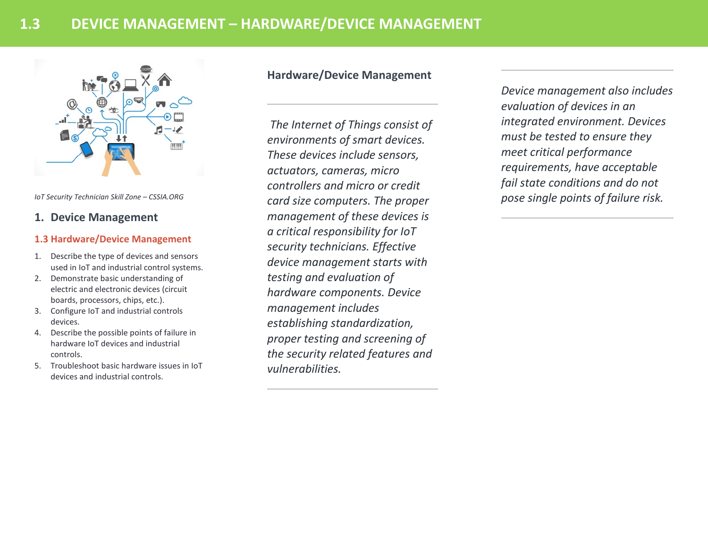

*IoT Security Technician Skill Zone – CSSIA.ORG*

## **1. Device Management**

## **1.3 Hardware/Device Management**

- 1. Describe the type of devices and sensors used in IoT and industrial control systems.
- 2. Demonstrate basic understanding of electric and electronic devices (circuit boards, processors, chips, etc.).
- 3. Configure IoT and industrial controls devices.
- 4. Describe the possible points of failure in hardware IoT devices and industrial controls.
- 5. Troubleshoot basic hardware issues in IoT devices and industrial controls.

# **Hardware/Device Management**

*The Internet of Things consist of environments of smart devices. These devices include sensors, actuators, cameras, micro controllers and micro or credit card size computers. The proper management of these devices is a critical responsibility for IoT security technicians. Effective device management starts with testing and evaluation of hardware components. Device management includes establishing standardization, proper testing and screening of the security related features and vulnerabilities.* 

*Device management also includes evaluation of devices in an integrated environment. Devices must be tested to ensure they meet critical performance requirements, have acceptable fail state conditions and do not pose single points of failure risk.*